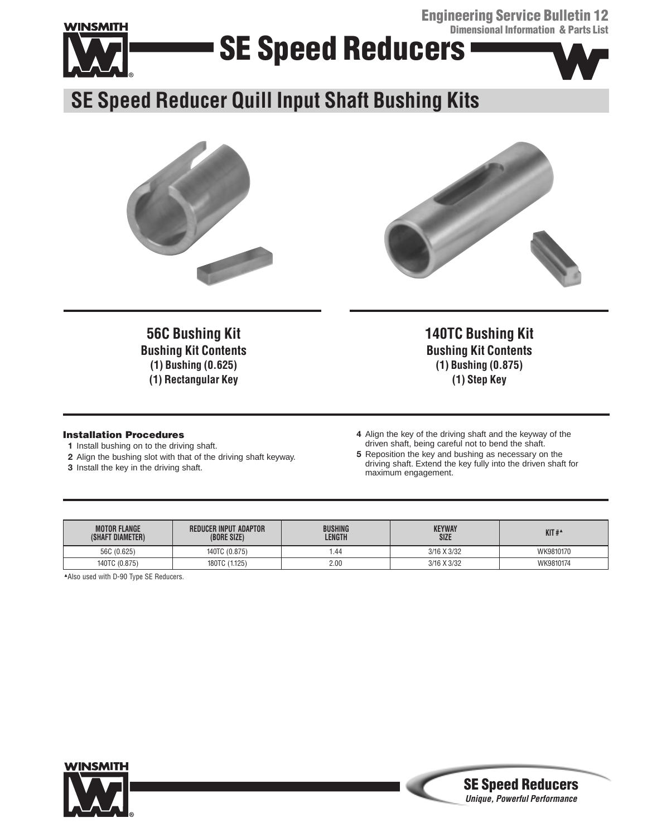**Engineering Service Bulletin 12 Dimensional Information & Parts List**



# **SE Speed Reducers**



**SE Speed Reducer Quill Input Shaft Bushing Kits**





**56C Bushing Kit Bushing Kit Contents (1) Bushing (0.625) (1) Rectangular Key**

#### **Installation Procedures**

- **1** Install bushing on to the driving shaft.
- **2** Align the bushing slot with that of the driving shaft keyway.
- **3** Install the key in the driving shaft.

**Bushing Kit Contents (1) Bushing (0.875) (1) Step Key**

**140TC Bushing Kit**

- **4** Align the key of the driving shaft and the keyway of the driven shaft, being careful not to bend the shaft.
- **5** Reposition the key and bushing as necessary on the driving shaft. Extend the key fully into the driven shaft for maximum engagement.

**SE Speed Reducers Unique, Powerful Performance**

| <b>MOTOR FLANGE</b><br>(SHAFT DIAMETER) | <b>REDUCER INPUT ADAPTOR</b><br>(BORE SIZE) | <b>BUSHING</b><br>LENGTH | <b>KEYWAY</b><br><b>SIZE</b> | $KIT#^4$  |
|-----------------------------------------|---------------------------------------------|--------------------------|------------------------------|-----------|
| 56C (0.625)                             | 140TC (0.875)                               | 44. ،                    | 3/16 X 3/32                  | WK9810170 |
| 140TC (0.875)                           | 180TC (1.125)                               | 2.00                     | 3/16 X 3/32                  | WK9810174 |

▲Also used with D-90 Type SE Reducers.